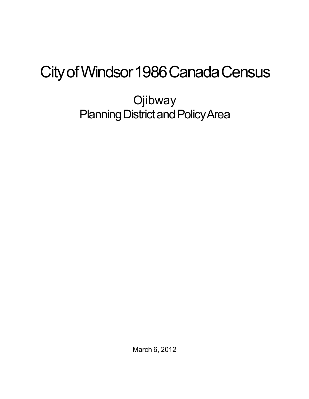## City of Windsor 1986 Canada Census

**Ojibway** Planning District and Policy Area

March 6, 2012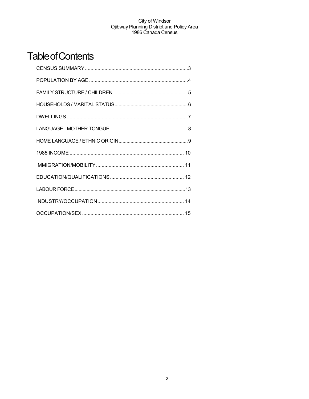## **Table of Contents**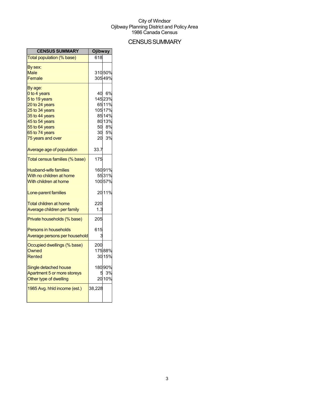## **CENSUS SUMMARY**

| <b>CENSUS SUMMARY</b>          | <b>Ojibway</b> |                  |
|--------------------------------|----------------|------------------|
| Total population (% base)      | 618            |                  |
| By sex:                        |                |                  |
| Male<br>Female                 |                | 31050%<br>30549% |
|                                |                |                  |
| By age:                        |                |                  |
| 0 to 4 years<br>5 to 19 years  | 40             | 6%<br>14523%     |
| 20 to 24 years                 |                | 6511%            |
| 25 to 34 years                 |                | 105 17%          |
| 35 to 44 years                 |                | 8514%            |
| 45 to 54 years                 |                | 80 13%           |
| 55 to 64 years                 | 50             | 8%               |
| 65 to 74 years                 | 30             | 5%               |
| 75 years and over              | 20             | 3%               |
| Average age of population      | 33.7           |                  |
| Total census families (% base) | 175            |                  |
| <b>Husband-wife families</b>   |                | 16091%           |
| With no children at home       |                | 5531%            |
| With children at home          |                | 10057%           |
| Lone-parent families           |                | 2011%            |
| <b>Total children at home</b>  | 220            |                  |
| Average children per family    | 1.3            |                  |
| Private households (% base)    | 205            |                  |
| Persons in households          | 615            |                  |
| Average persons per household  |                |                  |
| Occupied dwellings (% base)    | 200            |                  |
| Owned                          |                | 17588%           |
| <b>Rented</b>                  |                | 30 15%           |
| Single detached house          |                | 18090%           |
| Apartment 5 or more storeys    |                | 3%               |
| Other type of dwelling         |                | 20 10%           |
| 1985 Avg. hhld income (est.)   | 38,228         |                  |
|                                |                |                  |
|                                |                |                  |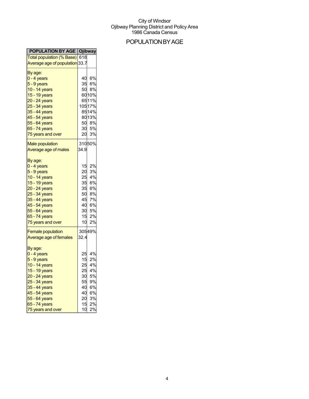## POPULATIONBYAGE

| <b>POPULATION BY AGE   Ojibway</b>                                                                                                                                                                                                                 |  |
|----------------------------------------------------------------------------------------------------------------------------------------------------------------------------------------------------------------------------------------------------|--|
|                                                                                                                                                                                                                                                    |  |
|                                                                                                                                                                                                                                                    |  |
|                                                                                                                                                                                                                                                    |  |
|                                                                                                                                                                                                                                                    |  |
| 40 6%                                                                                                                                                                                                                                              |  |
| 6%                                                                                                                                                                                                                                                 |  |
| 50 8%                                                                                                                                                                                                                                              |  |
| 6010%                                                                                                                                                                                                                                              |  |
| 6511%                                                                                                                                                                                                                                              |  |
| 10517%                                                                                                                                                                                                                                             |  |
| 8514%                                                                                                                                                                                                                                              |  |
| 8013%                                                                                                                                                                                                                                              |  |
| 8%                                                                                                                                                                                                                                                 |  |
| 30 5%                                                                                                                                                                                                                                              |  |
| 3%                                                                                                                                                                                                                                                 |  |
|                                                                                                                                                                                                                                                    |  |
|                                                                                                                                                                                                                                                    |  |
|                                                                                                                                                                                                                                                    |  |
|                                                                                                                                                                                                                                                    |  |
| 2%                                                                                                                                                                                                                                                 |  |
| 3%                                                                                                                                                                                                                                                 |  |
|                                                                                                                                                                                                                                                    |  |
| 4%                                                                                                                                                                                                                                                 |  |
| 6%                                                                                                                                                                                                                                                 |  |
|                                                                                                                                                                                                                                                    |  |
| 8%                                                                                                                                                                                                                                                 |  |
| 7%                                                                                                                                                                                                                                                 |  |
| 6%                                                                                                                                                                                                                                                 |  |
| 5%                                                                                                                                                                                                                                                 |  |
| 2%                                                                                                                                                                                                                                                 |  |
| 2%                                                                                                                                                                                                                                                 |  |
| 30549%                                                                                                                                                                                                                                             |  |
|                                                                                                                                                                                                                                                    |  |
|                                                                                                                                                                                                                                                    |  |
|                                                                                                                                                                                                                                                    |  |
| 4%                                                                                                                                                                                                                                                 |  |
| 2%                                                                                                                                                                                                                                                 |  |
| 4%                                                                                                                                                                                                                                                 |  |
| 4%                                                                                                                                                                                                                                                 |  |
| 5%                                                                                                                                                                                                                                                 |  |
| 9%                                                                                                                                                                                                                                                 |  |
| 6%                                                                                                                                                                                                                                                 |  |
| 6%                                                                                                                                                                                                                                                 |  |
| 3%                                                                                                                                                                                                                                                 |  |
| 2%                                                                                                                                                                                                                                                 |  |
| 2%                                                                                                                                                                                                                                                 |  |
| Total population (% Base) 618<br>Average age of population 33.7<br>35<br>50<br>20<br>31050%<br>34.9<br>15<br>20<br>25<br>35<br>35 6%<br>50<br>45<br>40<br>30<br>15<br>10<br>32.4<br>25<br>15<br>25<br>25<br>30<br>55<br>40<br>40<br>20<br>15<br>10 |  |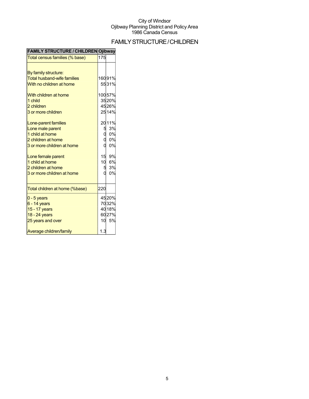## FAMILYSTRUCTURE/CHILDREN

| <b>FAMILY SIRUCTURE/CHILDREN U IDWAY</b> |     |        |
|------------------------------------------|-----|--------|
| Total census families (% base)           | 175 |        |
| By family structure:                     |     |        |
| <b>Total husband-wife families</b>       |     | 16091% |
| With no children at home                 |     | 5531%  |
| With children at home                    |     | 10057% |
| 1 child                                  |     | 3520%  |
| 2 children                               |     | 4526%  |
| 3 or more children                       |     | 2514%  |
| Lone-parent families                     |     | 2011%  |
| Lone male parent                         |     | 3%     |
| 1 child at home                          |     | 0%     |
| 2 children at home                       |     | 0%     |
| 3 or more children at home               |     | 0%     |
| Lone female parent                       | 15  | 9%     |
| 1 child at home                          | 10  | 6%     |
| 2 children at home                       |     | 3%     |
| 3 or more children at home               |     | 0%     |
| Total children at home (%base)           | 220 |        |
| $0 - 5$ years                            |     | 4520%  |
| $6 - 14$ years                           |     | 7032%  |
| 15 - 17 years                            |     | 4018%  |
| 18 - 24 years                            |     | 6027%  |
| 25 years and over                        | 10  | 5%     |
| Average children/family                  | 1.3 |        |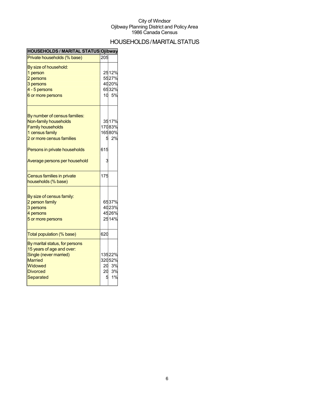## HOUSEHOLDS/MARITAL STATUS

| <b>HOUSEHOLDS / MARITAL STATUS Ojibway</b> |     |        |
|--------------------------------------------|-----|--------|
| Private households (% base)                | 205 |        |
| By size of household:                      |     |        |
| 1 person                                   |     | 2512%  |
| 2 persons                                  |     | 5527%  |
| 3 persons                                  |     | 4020%  |
| 4 - 5 persons                              |     | 6532%  |
| 6 or more persons                          |     | 10 5%  |
| By number of census families:              |     |        |
| Non-family households                      |     | 3517%  |
| <b>Family households</b>                   |     | 17083% |
| 1 census family                            |     | 16580% |
| 2 or more census families                  | 5   | 2%     |
| Persons in private households              | 615 |        |
| Average persons per household              |     |        |
| Census families in private                 | 175 |        |
| households (% base)                        |     |        |
| By size of census family:                  |     |        |
| 2 person family                            |     | 6537%  |
| 3 persons                                  |     | 4023%  |
| 4 persons                                  |     | 4526%  |
| 5 or more persons                          |     | 2514%  |
| Total population (% base)                  | 620 |        |
| By marital status, for persons             |     |        |
| 15 years of age and over:                  |     |        |
| Single (never married)                     |     | 13522% |
| <b>Married</b>                             |     | 32052% |
| Widowed                                    | 20  | 3%     |
| <b>Divorced</b>                            | 20  | 3%     |
| Separated                                  | E   | 1%     |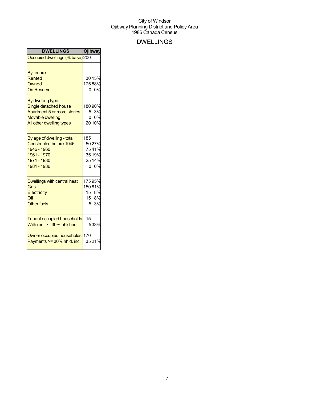## DWELLINGS

| <b>DWELLINGS</b>                                                                                                                                                                       |        | Ojibway                                                |
|----------------------------------------------------------------------------------------------------------------------------------------------------------------------------------------|--------|--------------------------------------------------------|
| Occupied dwellings (% base) 200                                                                                                                                                        |        |                                                        |
| By tenure:<br>Rented<br>Owned<br><b>On Reserve</b><br>By dwelling type:<br>Single detached house<br>Apartment 5 or more stories<br><b>Movable dwelling</b><br>All other dwelling types | 0<br>5 | 30 15%<br>17588%<br>0%<br>18090%<br>3%<br>0%<br>20 10% |
| By age of dwelling - total<br>Constructed before 1946<br>1946 - 1960<br>1961 - 1970<br>1971 - 1980<br>1981 - 1986                                                                      | 185    | 5027%<br>7541%<br>35 19%<br>25 14%<br>0 0%             |
| <b>Dwellings with central heat</b><br>Gas<br>Electricity<br>Oil<br><b>Other fuels</b>                                                                                                  | 5      | 17595%<br>15081%<br>15 8%<br>15 8%<br>3%               |
| <b>Tenant occupied households</b><br>With rent $>=$ 30% hhld inc.                                                                                                                      | 15     | 533%                                                   |
| Owner occupied households<br>Payments >= 30% hhld. inc.                                                                                                                                | 170    | 3521%                                                  |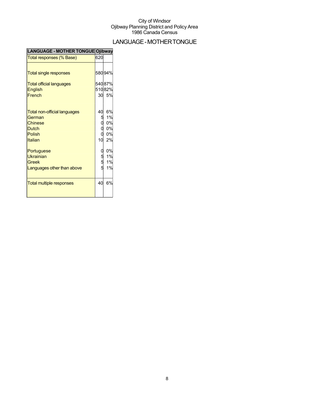## LANGUAGE-MOTHERTONGUE

| LANGUAGE - MOTHER TONGUE Ojibway |                  |        |
|----------------------------------|------------------|--------|
| Total responses (% Base)         | 620              |        |
|                                  |                  |        |
| <b>Total single responses</b>    |                  | 58094% |
| <b>Total official languages</b>  |                  | 54087% |
| <b>English</b>                   |                  | 51082% |
| French                           |                  | 30 5%  |
|                                  |                  |        |
| Total non-official languages     | 40               | 6%     |
| German                           |                  | 1%     |
| <b>Chinese</b>                   | 5<br>0<br>0<br>0 | 0%     |
| <b>Dutch</b>                     |                  | 0%     |
| <b>Polish</b>                    |                  | 0%     |
| <b>Italian</b>                   | 10               | 2%     |
| Portuguese                       |                  | 0%     |
| <b>Ukrainian</b>                 |                  | 1%     |
| Greek                            | 0<br>5<br>5<br>5 | 1%     |
| Languages other than above       |                  | 1%     |
|                                  |                  |        |
| <b>Total multiple responses</b>  | 40               | 6%     |
|                                  |                  |        |
|                                  |                  |        |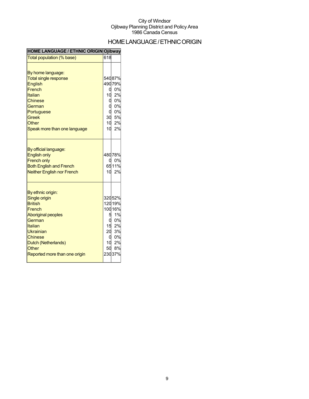## HOMELANGUAGE/ETHNICORIGIN

| <b>HOME LANGUAGE / ETHNIC ORIGIN Ojibway</b>                                                                                                                                                                            |                                |                                                                                 |
|-------------------------------------------------------------------------------------------------------------------------------------------------------------------------------------------------------------------------|--------------------------------|---------------------------------------------------------------------------------|
| Total population (% base)                                                                                                                                                                                               | 618                            |                                                                                 |
| By home language:<br><b>Total single response</b><br><b>English</b><br>French<br>Italian<br><b>Chinese</b><br>German<br>Portuguese<br><b>Greek</b><br>Other<br>Speak more than one language                             | q<br>10<br>O<br>10<br>10       | 54087%<br>49079%<br>0%<br>2%<br>0%<br>0%<br>0%<br>30 5%<br>2%<br>2%             |
| By official language:<br><b>English only</b><br><b>French only</b><br><b>Both English and French</b><br><b>Neither English nor French</b>                                                                               | a                              | 48078%<br>0%<br>6511%<br>10 2%                                                  |
| By ethnic origin:<br><b>Single origin</b><br><b>British</b><br>French<br><b>Aboriginal peoples</b><br>German<br>Italian<br>Ukrainian<br><b>Chinese</b><br>Dutch (Netherlands)<br>Other<br>Reported more than one origin | 5<br>15<br>20<br>a<br>10<br>50 | 32052%<br>12019%<br>100 16%<br>1%<br>0%<br>2%<br>3%<br>0%<br>2%<br>8%<br>23037% |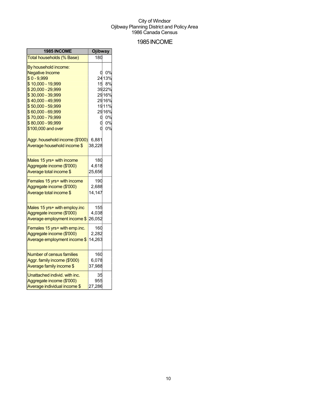### 1985INCOME

| 1985 INCOME                      | <b>Ojibway</b> |        |
|----------------------------------|----------------|--------|
| Total households (% Base)        | 180            |        |
| By household income:             |                |        |
| <b>Negative Income</b>           | O              | 0%     |
| $$0 - 9,999$                     |                | 24 13% |
| \$10,000 - 19,999                | 15             | 8%     |
| \$20,000 - 29,999                |                | 3922%  |
| \$30,000 - 39,999                |                | 2916%  |
| \$40,000 - 49,999                |                | 2916%  |
| \$50,000 - 59,999                |                | 1911%  |
| \$60,000 - 69,999                |                | 2916%  |
| \$70,000 - 79,999                | O              | 0%     |
| \$80,000 - 99,999                | 0              | 0%     |
| \$100,000 and over               | 0              | 0%     |
| Aggr. household income (\$'000)  | 6,881          |        |
| Average household income \$      | 38,228         |        |
|                                  |                |        |
| Males 15 yrs+ with income        | 180            |        |
| Aggregate income (\$'000)        | 4,618          |        |
| Average total income \$          | 25,656         |        |
| Females 15 yrs+ with income      | 190            |        |
| Aggregate income (\$'000)        | 2,688          |        |
| Average total income \$          | 14,147         |        |
|                                  |                |        |
| Males 15 yrs+ with employ.inc    | 155            |        |
| Aggregate income (\$'000)        | 4,038          |        |
| Average employment income \$     | 26,052         |        |
| Females 15 yrs+ with emp.inc.    | 160            |        |
| Aggregate income (\$'000)        | 2,282          |        |
| Average employment income \$     | 14,263         |        |
|                                  |                |        |
| <b>Number of census families</b> | 160            |        |
| Aggr. family income (\$'000)     | 6,078          |        |
| Average family income \$         | 37,988         |        |
| Unattached individ. with inc.    | 35             |        |
| Aggregate income (\$'000)        | 955            |        |
| Average individual income \$     | 27,286         |        |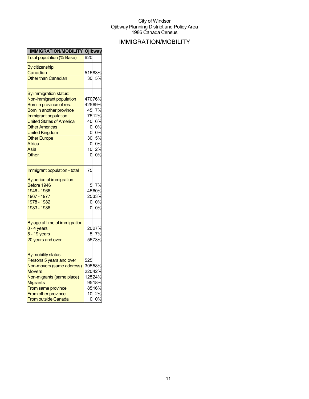## IMMIGRATION/MOBILITY

| Total population (% Base)<br>620<br>By citizenship:<br>51583%<br>Canadian<br>Other than Canadian<br>30<br>5%<br>By immigration status:<br>47076%<br>Non-immigrant population<br>42569%<br>Born in province of res.<br>45 7%<br>Born in another province<br>7512%<br>Immigrant population<br>40 6%<br><b>United States of America</b><br>0%<br><b>Other Americas</b><br>0<br>0%<br><b>United Kingdom</b><br>ი<br>30 5%<br><b>Other Europe</b><br>Africa<br>0<br>2%<br>10<br>Asia<br>Other<br>0<br>75<br>Immigrant population - total<br>By period of immigration:<br>7%<br>Before 1946<br>5<br>1946 - 1966<br>4560%<br>2533%<br>1967 - 1977<br>1978 - 1982<br>0<br>0%<br>1983 - 1986<br>0<br>By age at time of immigration:<br>2027%<br>0 - 4 years<br>5 7%<br>5 - 19 years<br>5573%<br>20 years and over<br>By mobility status:<br>Persons 5 years and over<br>525<br>30558%<br>Non-movers (same address)<br>22042%<br><b>Movers</b><br>12524%<br>Non-migrants (same place)<br>9518%<br><b>Migrants</b><br>From same province<br>From other province<br>10 <sup>1</sup><br>2%<br>0 | <b>IMMIGRATION/MOBILITY Ojibway</b> |  |
|------------------------------------------------------------------------------------------------------------------------------------------------------------------------------------------------------------------------------------------------------------------------------------------------------------------------------------------------------------------------------------------------------------------------------------------------------------------------------------------------------------------------------------------------------------------------------------------------------------------------------------------------------------------------------------------------------------------------------------------------------------------------------------------------------------------------------------------------------------------------------------------------------------------------------------------------------------------------------------------------------------------------------------------------------------------------------------|-------------------------------------|--|
|                                                                                                                                                                                                                                                                                                                                                                                                                                                                                                                                                                                                                                                                                                                                                                                                                                                                                                                                                                                                                                                                                    |                                     |  |
|                                                                                                                                                                                                                                                                                                                                                                                                                                                                                                                                                                                                                                                                                                                                                                                                                                                                                                                                                                                                                                                                                    |                                     |  |
|                                                                                                                                                                                                                                                                                                                                                                                                                                                                                                                                                                                                                                                                                                                                                                                                                                                                                                                                                                                                                                                                                    |                                     |  |
|                                                                                                                                                                                                                                                                                                                                                                                                                                                                                                                                                                                                                                                                                                                                                                                                                                                                                                                                                                                                                                                                                    |                                     |  |
| 0%<br>0%                                                                                                                                                                                                                                                                                                                                                                                                                                                                                                                                                                                                                                                                                                                                                                                                                                                                                                                                                                                                                                                                           |                                     |  |
|                                                                                                                                                                                                                                                                                                                                                                                                                                                                                                                                                                                                                                                                                                                                                                                                                                                                                                                                                                                                                                                                                    |                                     |  |
|                                                                                                                                                                                                                                                                                                                                                                                                                                                                                                                                                                                                                                                                                                                                                                                                                                                                                                                                                                                                                                                                                    |                                     |  |
|                                                                                                                                                                                                                                                                                                                                                                                                                                                                                                                                                                                                                                                                                                                                                                                                                                                                                                                                                                                                                                                                                    |                                     |  |
|                                                                                                                                                                                                                                                                                                                                                                                                                                                                                                                                                                                                                                                                                                                                                                                                                                                                                                                                                                                                                                                                                    |                                     |  |
|                                                                                                                                                                                                                                                                                                                                                                                                                                                                                                                                                                                                                                                                                                                                                                                                                                                                                                                                                                                                                                                                                    |                                     |  |
|                                                                                                                                                                                                                                                                                                                                                                                                                                                                                                                                                                                                                                                                                                                                                                                                                                                                                                                                                                                                                                                                                    |                                     |  |
|                                                                                                                                                                                                                                                                                                                                                                                                                                                                                                                                                                                                                                                                                                                                                                                                                                                                                                                                                                                                                                                                                    |                                     |  |
|                                                                                                                                                                                                                                                                                                                                                                                                                                                                                                                                                                                                                                                                                                                                                                                                                                                                                                                                                                                                                                                                                    |                                     |  |
|                                                                                                                                                                                                                                                                                                                                                                                                                                                                                                                                                                                                                                                                                                                                                                                                                                                                                                                                                                                                                                                                                    |                                     |  |
|                                                                                                                                                                                                                                                                                                                                                                                                                                                                                                                                                                                                                                                                                                                                                                                                                                                                                                                                                                                                                                                                                    |                                     |  |
|                                                                                                                                                                                                                                                                                                                                                                                                                                                                                                                                                                                                                                                                                                                                                                                                                                                                                                                                                                                                                                                                                    |                                     |  |
|                                                                                                                                                                                                                                                                                                                                                                                                                                                                                                                                                                                                                                                                                                                                                                                                                                                                                                                                                                                                                                                                                    |                                     |  |
| 0%<br>8516%<br>0%                                                                                                                                                                                                                                                                                                                                                                                                                                                                                                                                                                                                                                                                                                                                                                                                                                                                                                                                                                                                                                                                  |                                     |  |
|                                                                                                                                                                                                                                                                                                                                                                                                                                                                                                                                                                                                                                                                                                                                                                                                                                                                                                                                                                                                                                                                                    |                                     |  |
|                                                                                                                                                                                                                                                                                                                                                                                                                                                                                                                                                                                                                                                                                                                                                                                                                                                                                                                                                                                                                                                                                    |                                     |  |
|                                                                                                                                                                                                                                                                                                                                                                                                                                                                                                                                                                                                                                                                                                                                                                                                                                                                                                                                                                                                                                                                                    |                                     |  |
|                                                                                                                                                                                                                                                                                                                                                                                                                                                                                                                                                                                                                                                                                                                                                                                                                                                                                                                                                                                                                                                                                    |                                     |  |
|                                                                                                                                                                                                                                                                                                                                                                                                                                                                                                                                                                                                                                                                                                                                                                                                                                                                                                                                                                                                                                                                                    |                                     |  |
|                                                                                                                                                                                                                                                                                                                                                                                                                                                                                                                                                                                                                                                                                                                                                                                                                                                                                                                                                                                                                                                                                    |                                     |  |
|                                                                                                                                                                                                                                                                                                                                                                                                                                                                                                                                                                                                                                                                                                                                                                                                                                                                                                                                                                                                                                                                                    |                                     |  |
|                                                                                                                                                                                                                                                                                                                                                                                                                                                                                                                                                                                                                                                                                                                                                                                                                                                                                                                                                                                                                                                                                    |                                     |  |
|                                                                                                                                                                                                                                                                                                                                                                                                                                                                                                                                                                                                                                                                                                                                                                                                                                                                                                                                                                                                                                                                                    |                                     |  |
|                                                                                                                                                                                                                                                                                                                                                                                                                                                                                                                                                                                                                                                                                                                                                                                                                                                                                                                                                                                                                                                                                    |                                     |  |
|                                                                                                                                                                                                                                                                                                                                                                                                                                                                                                                                                                                                                                                                                                                                                                                                                                                                                                                                                                                                                                                                                    |                                     |  |
|                                                                                                                                                                                                                                                                                                                                                                                                                                                                                                                                                                                                                                                                                                                                                                                                                                                                                                                                                                                                                                                                                    |                                     |  |
|                                                                                                                                                                                                                                                                                                                                                                                                                                                                                                                                                                                                                                                                                                                                                                                                                                                                                                                                                                                                                                                                                    |                                     |  |
|                                                                                                                                                                                                                                                                                                                                                                                                                                                                                                                                                                                                                                                                                                                                                                                                                                                                                                                                                                                                                                                                                    |                                     |  |
|                                                                                                                                                                                                                                                                                                                                                                                                                                                                                                                                                                                                                                                                                                                                                                                                                                                                                                                                                                                                                                                                                    |                                     |  |
|                                                                                                                                                                                                                                                                                                                                                                                                                                                                                                                                                                                                                                                                                                                                                                                                                                                                                                                                                                                                                                                                                    |                                     |  |
|                                                                                                                                                                                                                                                                                                                                                                                                                                                                                                                                                                                                                                                                                                                                                                                                                                                                                                                                                                                                                                                                                    |                                     |  |
|                                                                                                                                                                                                                                                                                                                                                                                                                                                                                                                                                                                                                                                                                                                                                                                                                                                                                                                                                                                                                                                                                    |                                     |  |
|                                                                                                                                                                                                                                                                                                                                                                                                                                                                                                                                                                                                                                                                                                                                                                                                                                                                                                                                                                                                                                                                                    |                                     |  |
|                                                                                                                                                                                                                                                                                                                                                                                                                                                                                                                                                                                                                                                                                                                                                                                                                                                                                                                                                                                                                                                                                    |                                     |  |
|                                                                                                                                                                                                                                                                                                                                                                                                                                                                                                                                                                                                                                                                                                                                                                                                                                                                                                                                                                                                                                                                                    | <b>From outside Canada</b>          |  |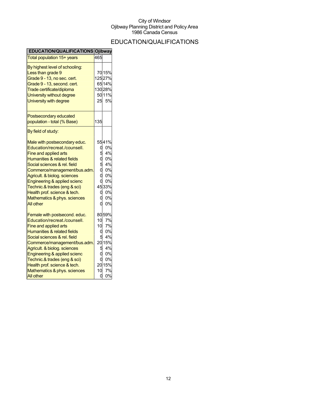## EDUCATION/QUALIFICATIONS

| EDUCATION/QUALIFICATIONS Ojibway                                                                                                                                                                                                                                                                                                                                                     |                                         |                                                                                |
|--------------------------------------------------------------------------------------------------------------------------------------------------------------------------------------------------------------------------------------------------------------------------------------------------------------------------------------------------------------------------------------|-----------------------------------------|--------------------------------------------------------------------------------|
| Total population 15+ years                                                                                                                                                                                                                                                                                                                                                           | 465                                     |                                                                                |
| By highest level of schooling:<br>Less than grade 9<br>Grade 9 - 13, no sec. cert.<br>Grade 9 - 13, second. cert.<br>Trade certificate/diploma<br>University without degree<br>University with degree                                                                                                                                                                                | 25                                      | 70 15%<br>12527%<br>6514%<br>13028%<br>5011%<br>5%                             |
| Postsecondary educated<br>population - total (% Base)                                                                                                                                                                                                                                                                                                                                | 135                                     |                                                                                |
| By field of study:                                                                                                                                                                                                                                                                                                                                                                   |                                         |                                                                                |
| Male with postsecondary educ.<br>Education/recreat./counsell.<br>Fine and applied arts<br>Humanities & related fields<br>Social sciences & rel. field<br>Commerce/management/bus.adm.<br>Agricult. & biolog. sciences<br>Engineering & applied scienc<br>Technic.& trades (eng & sci)<br>Health prof. science & tech.<br>Mathematics & phys. sciences<br>All other                   | 0<br>5<br>o<br>d<br>d<br>0<br>ი         | 5541%<br>0%<br>4%<br>0%<br>4%<br>0%<br>0%<br>0%<br>4533%<br>0%<br>0%<br>0%     |
| Female with postsecond. educ.<br>Education/recreat./counsell.<br>Fine and applied arts<br><b>Humanities &amp; related fields</b><br>Social sciences & rel. field<br>Commerce/management/bus.adm.<br>Agricult. & biolog. sciences<br>Engineering & applied scienc<br>Technic.& trades (eng & sci)<br>Health prof. science & tech.<br>Mathematics & phys. sciences<br><b>All other</b> | 10<br>10<br>0<br>5<br>5<br>0<br>10<br>0 | 8059%<br>7%<br>7%<br>0%<br>4%<br>20 15%<br>4%<br>0%<br>0%<br>2015%<br>7%<br>0% |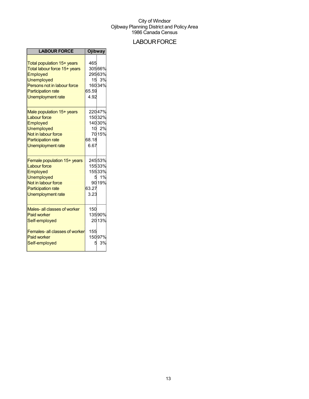### **LABOUR FORCE**

| <b>LABOUR FORCE</b>                                                                                                                                                                 | <b>Ojibway</b>       |                                                |
|-------------------------------------------------------------------------------------------------------------------------------------------------------------------------------------|----------------------|------------------------------------------------|
| Total population 15+ years<br>Total labour force 15+ years<br>Employed<br><b>Unemployed</b><br>Persons not in labour force<br><b>Participation rate</b><br><b>Unemployment rate</b> | 465<br>65.59<br>4.92 | 30566%<br>29563%<br>15 3%<br>160 34%           |
| Male population 15+ years<br><b>Labour force</b><br>Employed<br><b>Unemployed</b><br>Not in labour force<br><b>Participation rate</b><br><b>Unemployment rate</b>                   | 68.18<br>6.67        | 22047%<br>15032%<br>140 30%<br>10 2%<br>70 15% |
| Female population 15+ years<br><b>Labour force</b><br>Employed<br><b>Unemployed</b><br>Not in labour force<br><b>Participation rate</b><br><b>Unemployment rate</b>                 | 63.27<br>3.23        | 24553%<br>15533%<br>15533%<br>5 1%<br>90 19%   |
| Males- all classes of worker<br><b>Paid worker</b><br>Self-employed<br>Females- all classes of worker<br><b>Paid worker</b><br>Self-employed                                        | 150<br>155<br>5      | 13590%<br>2013%<br>15097%<br>3%                |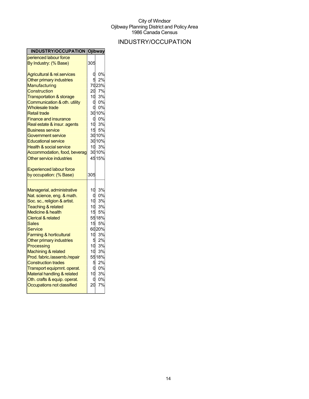## INDUSTRY/OCCUPATION

| <b>INDUSTRY/OCCUPATION Ojibway</b>     |                 |       |
|----------------------------------------|-----------------|-------|
| perienced labour force                 |                 |       |
| By Industry: (% Base)                  | 305             |       |
| <b>Agricultural &amp; rel.services</b> | α               | 0%    |
| Other primary industries               | 5               | 2%    |
| Manufacturing                          |                 | 7023% |
| Construction                           | 20              | 7%    |
| <b>Transportation &amp; storage</b>    | $10-1$          | 3%    |
| Communication & oth. utility           | $\mathbf 0$     | 0%    |
| <b>Wholesale trade</b>                 | 0               | 0%    |
| <b>Retail trade</b>                    |                 | 3010% |
| <b>Finance and insurance</b>           | d               | 0%    |
| Real estate & insur. agents            |                 | 3%    |
| <b>Business service</b>                | 10<br>15        | 5%    |
| Government service                     |                 | 3010% |
| <b>Educational service</b>             |                 | 3010% |
| <b>Health &amp; social service</b>     |                 | 10 3% |
| Accommodation, food, beverag           |                 | 3010% |
| Other service industries               |                 | 4515% |
|                                        |                 |       |
| <b>Experienced labour force</b>        |                 |       |
| by occupation: (% Base)                | 305             |       |
|                                        |                 |       |
|                                        |                 |       |
| Managerial, administrative             | 10              | 3%    |
| Nat. science, eng. & math.             | 0               | 0%    |
| Soc. sc., religion & artist.           | 10              | 3%    |
| Teaching & related                     | 10              | 3%    |
| <b>Medicine &amp; health</b>           | 15              | 5%    |
| <b>Clerical &amp; related</b>          |                 | 5518% |
| Sales                                  | 15              | 5%    |
| Service                                |                 | 6020% |
| Farming & horticultural                | 10              | 3%    |
| Other primary industries               | 5               | 2%    |
| Processing                             |                 | 10 3% |
| Machining & related                    | 10 <sup>1</sup> | 3%    |
| Prod. fabric./assemb./repair           |                 | 5518% |
| <b>Construction trades</b>             | 5               | 2%    |
| Transport equipmnt. operat.            | d               | 0%    |
| Material handling & related            | 10              | 3%    |
| Oth. crafts & equip. operat.           | 0               | 0%    |
| Occupations not classified             | 20              | 7%    |